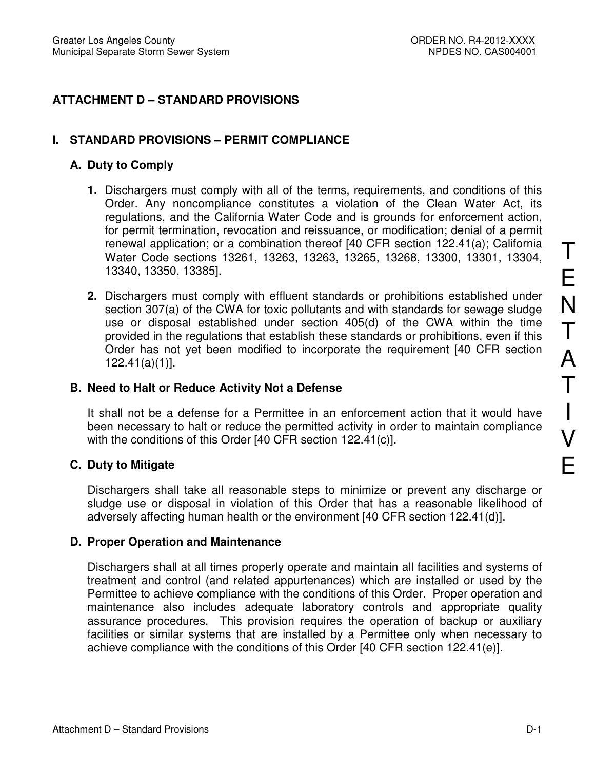# **ATTACHMENT D – STANDARD PROVISIONS**

## **I. STANDARD PROVISIONS – PERMIT COMPLIANCE**

#### **A. Duty to Comply**

- **1.** Dischargers must comply with all of the terms, requirements, and conditions of this Order. Any noncompliance constitutes a violation of the Clean Water Act, its regulations, and the California Water Code and is grounds for enforcement action, for permit termination, revocation and reissuance, or modification; denial of a permit renewal application; or a combination thereof [40 CFR section 122.41(a); California Water Code sections 13261, 13263, 13263, 13265, 13268, 13300, 13301, 13304, 13340, 13350, 13385].
- **2.** Dischargers must comply with effluent standards or prohibitions established under section 307(a) of the CWA for toxic pollutants and with standards for sewage sludge use or disposal established under section 405(d) of the CWA within the time provided in the regulations that establish these standards or prohibitions, even if this Order has not yet been modified to incorporate the requirement [40 CFR section 122.41(a)(1)].

#### **B. Need to Halt or Reduce Activity Not a Defense**

It shall not be a defense for a Permittee in an enforcement action that it would have been necessary to halt or reduce the permitted activity in order to maintain compliance with the conditions of this Order [40 CFR section 122.41(c)].

### **C. Duty to Mitigate**

Dischargers shall take all reasonable steps to minimize or prevent any discharge or sludge use or disposal in violation of this Order that has a reasonable likelihood of adversely affecting human health or the environment [40 CFR section 122.41(d)].

### **D. Proper Operation and Maintenance**

Dischargers shall at all times properly operate and maintain all facilities and systems of treatment and control (and related appurtenances) which are installed or used by the Permittee to achieve compliance with the conditions of this Order. Proper operation and maintenance also includes adequate laboratory controls and appropriate quality assurance procedures. This provision requires the operation of backup or auxiliary facilities or similar systems that are installed by a Permittee only when necessary to achieve compliance with the conditions of this Order [40 CFR section 122.41(e)].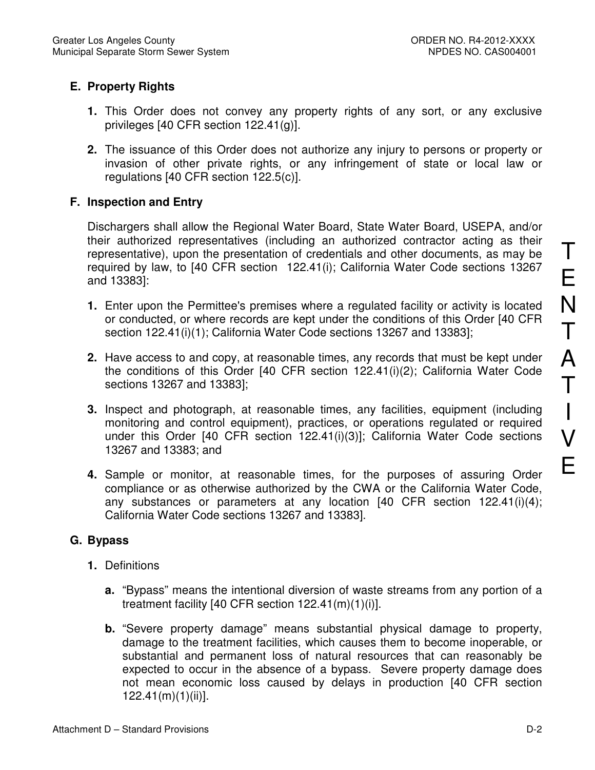# **E. Property Rights**

- **1.** This Order does not convey any property rights of any sort, or any exclusive privileges [40 CFR section 122.41(g)].
- **2.** The issuance of this Order does not authorize any injury to persons or property or invasion of other private rights, or any infringement of state or local law or regulations [40 CFR section 122.5(c)].

# **F. Inspection and Entry**

Dischargers shall allow the Regional Water Board, State Water Board, USEPA, and/or their authorized representatives (including an authorized contractor acting as their representative), upon the presentation of credentials and other documents, as may be required by law, to [40 CFR section 122.41(i); California Water Code sections 13267 and 13383]:

- **1.** Enter upon the Permittee's premises where a regulated facility or activity is located or conducted, or where records are kept under the conditions of this Order [40 CFR section 122.41(i)(1); California Water Code sections 13267 and 13383];
- **2.** Have access to and copy, at reasonable times, any records that must be kept under the conditions of this Order [40 CFR section 122.41(i)(2); California Water Code sections 13267 and 13383];
- **3.** Inspect and photograph, at reasonable times, any facilities, equipment (including monitoring and control equipment), practices, or operations regulated or required under this Order [40 CFR section 122.41(i)(3)]; California Water Code sections 13267 and 13383; and
- **4.** Sample or monitor, at reasonable times, for the purposes of assuring Order compliance or as otherwise authorized by the CWA or the California Water Code, any substances or parameters at any location  $[40 \text{ CFR}$  section  $122.41(i)(4);$ California Water Code sections 13267 and 13383].

# **G. Bypass**

- **1.** Definitions
	- **a.** "Bypass" means the intentional diversion of waste streams from any portion of a treatment facility [40 CFR section  $122.41(m)(1)(i)$ ].
	- **b.** "Severe property damage" means substantial physical damage to property, damage to the treatment facilities, which causes them to become inoperable, or substantial and permanent loss of natural resources that can reasonably be expected to occur in the absence of a bypass. Severe property damage does not mean economic loss caused by delays in production [40 CFR section 122.41(m)(1)(ii)].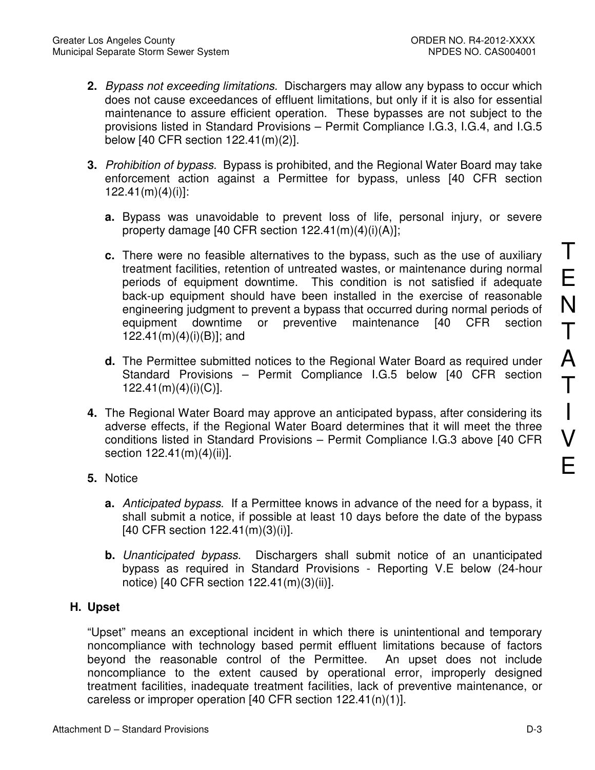- **2.** Bypass not exceeding limitations. Dischargers may allow any bypass to occur which does not cause exceedances of effluent limitations, but only if it is also for essential maintenance to assure efficient operation. These bypasses are not subject to the provisions listed in Standard Provisions – Permit Compliance I.G.3, I.G.4, and I.G.5 below [40 CFR section 122.41(m)(2)].
- **3.** Prohibition of bypass. Bypass is prohibited, and the Regional Water Board may take enforcement action against a Permittee for bypass, unless [40 CFR section 122.41(m)(4)(i)]:
	- **a.** Bypass was unavoidable to prevent loss of life, personal injury, or severe property damage [40 CFR section 122.41(m)(4)(i)(A)];
	- **c.** There were no feasible alternatives to the bypass, such as the use of auxiliary treatment facilities, retention of untreated wastes, or maintenance during normal periods of equipment downtime. This condition is not satisfied if adequate back-up equipment should have been installed in the exercise of reasonable engineering judgment to prevent a bypass that occurred during normal periods of equipment downtime or preventive maintenance [40 CFR section 122.41(m)(4)(i)(B)]; and
	- **d.** The Permittee submitted notices to the Regional Water Board as required under Standard Provisions – Permit Compliance I.G.5 below [40 CFR section 122.41(m)(4)(i)(C)].
- **4.** The Regional Water Board may approve an anticipated bypass, after considering its adverse effects, if the Regional Water Board determines that it will meet the three conditions listed in Standard Provisions – Permit Compliance I.G.3 above [40 CFR section 122.41(m)(4)(ii)].
- **5.** Notice
	- **a.** Anticipated bypass. If a Permittee knows in advance of the need for a bypass, it shall submit a notice, if possible at least 10 days before the date of the bypass [40 CFR section 122.41(m)(3)(i)].
	- **b.** Unanticipated bypass. Dischargers shall submit notice of an unanticipated bypass as required in Standard Provisions - Reporting V.E below (24-hour notice) [40 CFR section 122.41(m)(3)(ii)].

# **H. Upset**

"Upset" means an exceptional incident in which there is unintentional and temporary noncompliance with technology based permit effluent limitations because of factors beyond the reasonable control of the Permittee. An upset does not include noncompliance to the extent caused by operational error, improperly designed treatment facilities, inadequate treatment facilities, lack of preventive maintenance, or careless or improper operation [40 CFR section 122.41(n)(1)].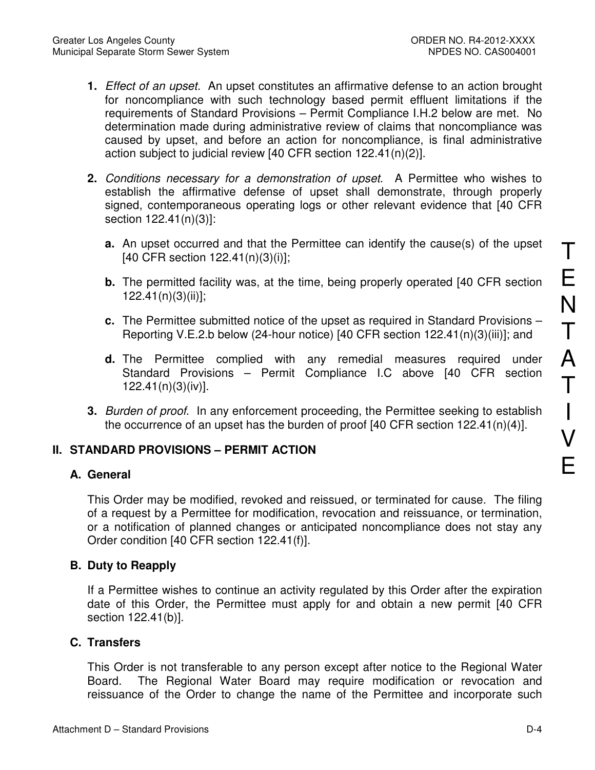- **1.** Effect of an upset. An upset constitutes an affirmative defense to an action brought for noncompliance with such technology based permit effluent limitations if the requirements of Standard Provisions – Permit Compliance I.H.2 below are met. No determination made during administrative review of claims that noncompliance was caused by upset, and before an action for noncompliance, is final administrative action subject to judicial review [40 CFR section 122.41(n)(2)].
- **2.** Conditions necessary for a demonstration of upset. A Permittee who wishes to establish the affirmative defense of upset shall demonstrate, through properly signed, contemporaneous operating logs or other relevant evidence that [40 CFR section 122.41(n)(3)]:
	- **a.** An upset occurred and that the Permittee can identify the cause(s) of the upset [40 CFR section 122.41(n)(3)(i)];
	- **b.** The permitted facility was, at the time, being properly operated [40 CFR section 122.41(n)(3)(ii)];
	- **c.** The Permittee submitted notice of the upset as required in Standard Provisions Reporting V.E.2.b below (24-hour notice) [40 CFR section 122.41(n)(3)(iii)]; and
	- **d.** The Permittee complied with any remedial measures required under Standard Provisions – Permit Compliance I.C above [40 CFR section 122.41(n)(3)(iv)].
- **3.** Burden of proof. In any enforcement proceeding, the Permittee seeking to establish the occurrence of an upset has the burden of proof [40 CFR section 122.41(n)(4)].

# **II. STANDARD PROVISIONS – PERMIT ACTION**

### **A. General**

This Order may be modified, revoked and reissued, or terminated for cause. The filing of a request by a Permittee for modification, revocation and reissuance, or termination, or a notification of planned changes or anticipated noncompliance does not stay any Order condition [40 CFR section 122.41(f)].

### **B. Duty to Reapply**

If a Permittee wishes to continue an activity regulated by this Order after the expiration date of this Order, the Permittee must apply for and obtain a new permit [40 CFR section 122.41(b)].

## **C. Transfers**

This Order is not transferable to any person except after notice to the Regional Water Board. The Regional Water Board may require modification or revocation and reissuance of the Order to change the name of the Permittee and incorporate such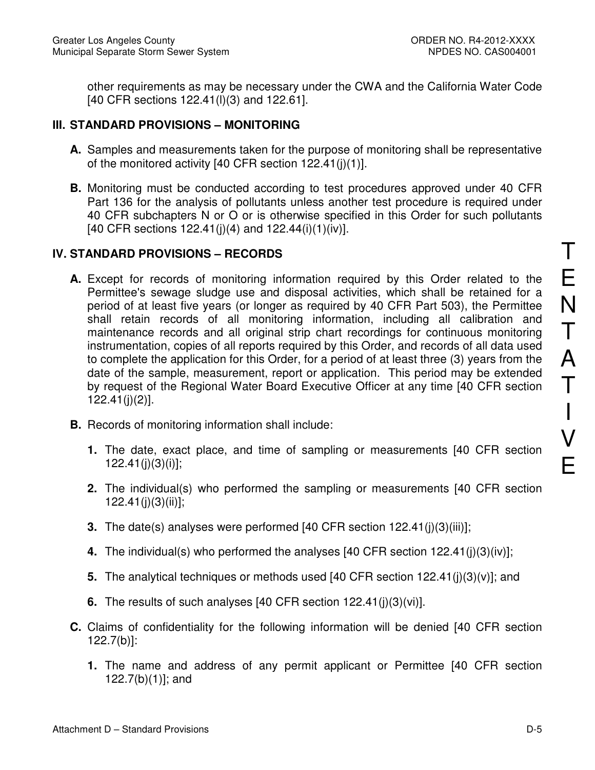other requirements as may be necessary under the CWA and the California Water Code [40 CFR sections 122.41(l)(3) and 122.61].

# **III. STANDARD PROVISIONS – MONITORING**

- **A.** Samples and measurements taken for the purpose of monitoring shall be representative of the monitored activity [40 CFR section 122.41(j)(1)].
- **B.** Monitoring must be conducted according to test procedures approved under 40 CFR Part 136 for the analysis of pollutants unless another test procedure is required under 40 CFR subchapters N or O or is otherwise specified in this Order for such pollutants [40 CFR sections  $122.41(j)(4)$  and  $122.44(i)(1)(iv)$ ].

# **IV. STANDARD PROVISIONS – RECORDS**

- **A.** Except for records of monitoring information required by this Order related to the Permittee's sewage sludge use and disposal activities, which shall be retained for a period of at least five years (or longer as required by 40 CFR Part 503), the Permittee shall retain records of all monitoring information, including all calibration and maintenance records and all original strip chart recordings for continuous monitoring instrumentation, copies of all reports required by this Order, and records of all data used to complete the application for this Order, for a period of at least three (3) years from the date of the sample, measurement, report or application. This period may be extended by request of the Regional Water Board Executive Officer at any time [40 CFR section 122.41(j)(2)].
- **B.** Records of monitoring information shall include:
	- **1.** The date, exact place, and time of sampling or measurements [40 CFR section 122.41(j)(3)(i)];
	- **2.** The individual(s) who performed the sampling or measurements [40 CFR section 122.41(j)(3)(ii)];
	- **3.** The date(s) analyses were performed [40 CFR section 122.41(j)(3)(iii)];
	- **4.** The individual(s) who performed the analyses [40 CFR section 122.41(j)(3)(iv)];
	- **5.** The analytical techniques or methods used [40 CFR section 122.41(j)(3)(v)]; and
	- **6.** The results of such analyses [40 CFR section 122.41(j)(3)(vi)].
- **C.** Claims of confidentiality for the following information will be denied [40 CFR section 122.7(b)]:
	- **1.** The name and address of any permit applicant or Permittee [40 CFR section 122.7(b)(1)]; and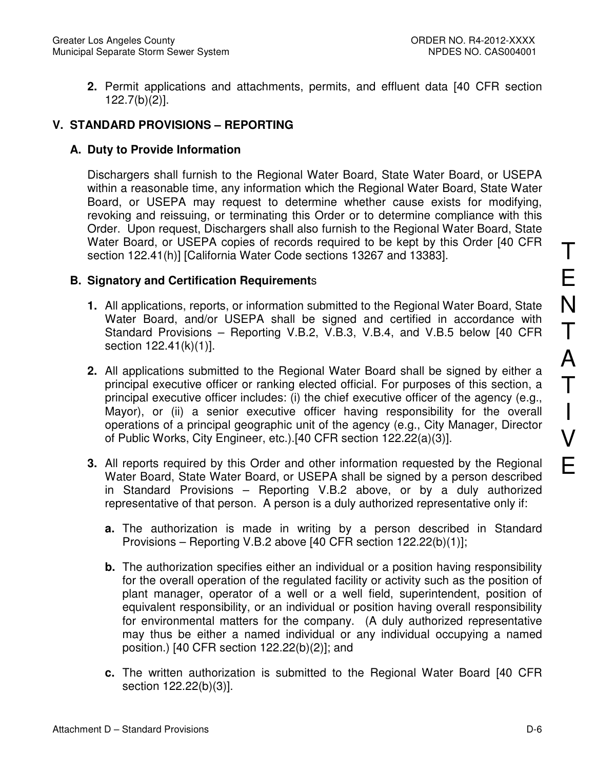**2.** Permit applications and attachments, permits, and effluent data [40 CFR section 122.7(b)(2)].

# **V. STANDARD PROVISIONS – REPORTING**

# **A. Duty to Provide Information**

Dischargers shall furnish to the Regional Water Board, State Water Board, or USEPA within a reasonable time, any information which the Regional Water Board, State Water Board, or USEPA may request to determine whether cause exists for modifying, revoking and reissuing, or terminating this Order or to determine compliance with this Order. Upon request, Dischargers shall also furnish to the Regional Water Board, State Water Board, or USEPA copies of records required to be kept by this Order [40 CFR section 122.41(h)] [California Water Code sections 13267 and 13383].

## **B. Signatory and Certification Requirement**s

- **1.** All applications, reports, or information submitted to the Regional Water Board, State Water Board, and/or USEPA shall be signed and certified in accordance with Standard Provisions – Reporting V.B.2, V.B.3, V.B.4, and V.B.5 below [40 CFR section 122.41(k)(1)].
- **2.** All applications submitted to the Regional Water Board shall be signed by either a principal executive officer or ranking elected official. For purposes of this section, a principal executive officer includes: (i) the chief executive officer of the agency (e.g., Mayor), or (ii) a senior executive officer having responsibility for the overall operations of a principal geographic unit of the agency (e.g., City Manager, Director of Public Works, City Engineer, etc.).[40 CFR section 122.22(a)(3)].
- **3.** All reports required by this Order and other information requested by the Regional Water Board, State Water Board, or USEPA shall be signed by a person described in Standard Provisions – Reporting V.B.2 above, or by a duly authorized representative of that person. A person is a duly authorized representative only if:
	- **a.** The authorization is made in writing by a person described in Standard Provisions – Reporting V.B.2 above [40 CFR section 122.22(b)(1)];
	- **b.** The authorization specifies either an individual or a position having responsibility for the overall operation of the regulated facility or activity such as the position of plant manager, operator of a well or a well field, superintendent, position of equivalent responsibility, or an individual or position having overall responsibility for environmental matters for the company. (A duly authorized representative may thus be either a named individual or any individual occupying a named position.) [40 CFR section 122.22(b)(2)]; and
	- **c.** The written authorization is submitted to the Regional Water Board [40 CFR section 122.22(b)(3)].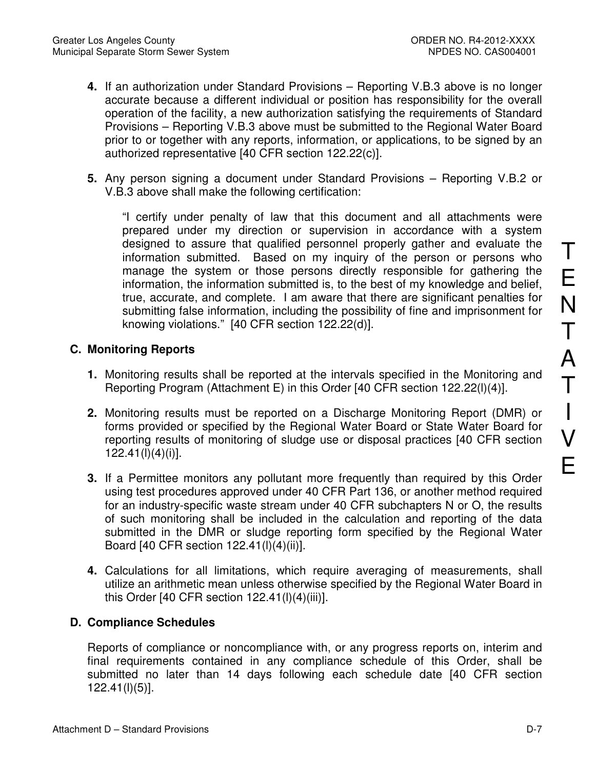- **4.** If an authorization under Standard Provisions Reporting V.B.3 above is no longer accurate because a different individual or position has responsibility for the overall operation of the facility, a new authorization satisfying the requirements of Standard Provisions – Reporting V.B.3 above must be submitted to the Regional Water Board prior to or together with any reports, information, or applications, to be signed by an authorized representative [40 CFR section 122.22(c)].
- **5.** Any person signing a document under Standard Provisions Reporting V.B.2 or V.B.3 above shall make the following certification:

"I certify under penalty of law that this document and all attachments were prepared under my direction or supervision in accordance with a system designed to assure that qualified personnel properly gather and evaluate the information submitted. Based on my inquiry of the person or persons who manage the system or those persons directly responsible for gathering the information, the information submitted is, to the best of my knowledge and belief, true, accurate, and complete. I am aware that there are significant penalties for submitting false information, including the possibility of fine and imprisonment for knowing violations." [40 CFR section 122.22(d)].

# **C. Monitoring Reports**

- **1.** Monitoring results shall be reported at the intervals specified in the Monitoring and Reporting Program (Attachment E) in this Order [40 CFR section 122.22(l)(4)].
- **2.** Monitoring results must be reported on a Discharge Monitoring Report (DMR) or forms provided or specified by the Regional Water Board or State Water Board for reporting results of monitoring of sludge use or disposal practices [40 CFR section 122.41(l)(4)(i)].
- **3.** If a Permittee monitors any pollutant more frequently than required by this Order using test procedures approved under 40 CFR Part 136, or another method required for an industry-specific waste stream under 40 CFR subchapters N or O, the results of such monitoring shall be included in the calculation and reporting of the data submitted in the DMR or sludge reporting form specified by the Regional Water Board [40 CFR section 122.41(l)(4)(ii)].
- **4.** Calculations for all limitations, which require averaging of measurements, shall utilize an arithmetic mean unless otherwise specified by the Regional Water Board in this Order [40 CFR section 122.41(l)(4)(iii)].

# **D. Compliance Schedules**

Reports of compliance or noncompliance with, or any progress reports on, interim and final requirements contained in any compliance schedule of this Order, shall be submitted no later than 14 days following each schedule date [40 CFR section 122.41(l)(5)].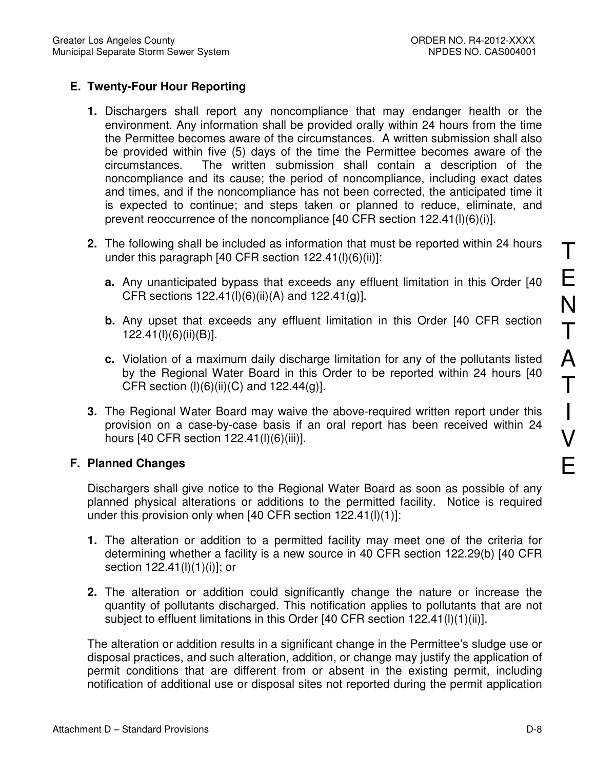# **E. Twenty-Four Hour Reporting**

- **1.** Dischargers shall report any noncompliance that may endanger health or the environment. Any information shall be provided orally within 24 hours from the time the Permittee becomes aware of the circumstances. A written submission shall also be provided within five (5) days of the time the Permittee becomes aware of the circumstances. The written submission shall contain a description of the noncompliance and its cause; the period of noncompliance, including exact dates and times, and if the noncompliance has not been corrected, the anticipated time it is expected to continue; and steps taken or planned to reduce, eliminate, and prevent reoccurrence of the noncompliance [40 CFR section 122.41(l)(6)(i)].
- **2.** The following shall be included as information that must be reported within 24 hours under this paragraph [40 CFR section 122.41(l)(6)(ii)]:
	- **a.** Any unanticipated bypass that exceeds any effluent limitation in this Order [40 CFR sections  $122.41(l)(6)(ii)(A)$  and  $122.41(g)$ ].
	- **b.** Any upset that exceeds any effluent limitation in this Order [40 CFR section 122.41(l)(6)(ii)(B)].
	- **c.** Violation of a maximum daily discharge limitation for any of the pollutants listed by the Regional Water Board in this Order to be reported within 24 hours [40 CFR section  $(I)(6)(ii)(C)$  and 122.44 $(g)$ ].
- **3.** The Regional Water Board may waive the above-required written report under this provision on a case-by-case basis if an oral report has been received within 24 hours [40 CFR section 122.41(l)(6)(iii)].

# **F. Planned Changes**

Dischargers shall give notice to the Regional Water Board as soon as possible of any planned physical alterations or additions to the permitted facility. Notice is required under this provision only when [40 CFR section 122.41(l)(1)]:

- **1.** The alteration or addition to a permitted facility may meet one of the criteria for determining whether a facility is a new source in 40 CFR section 122.29(b) [40 CFR section 122.41(l)(1)(i)]; or
- **2.** The alteration or addition could significantly change the nature or increase the quantity of pollutants discharged. This notification applies to pollutants that are not subject to effluent limitations in this Order [40 CFR section 122.41(l)(1)(ii)].

The alteration or addition results in a significant change in the Permittee's sludge use or disposal practices, and such alteration, addition, or change may justify the application of permit conditions that are different from or absent in the existing permit, including notification of additional use or disposal sites not reported during the permit application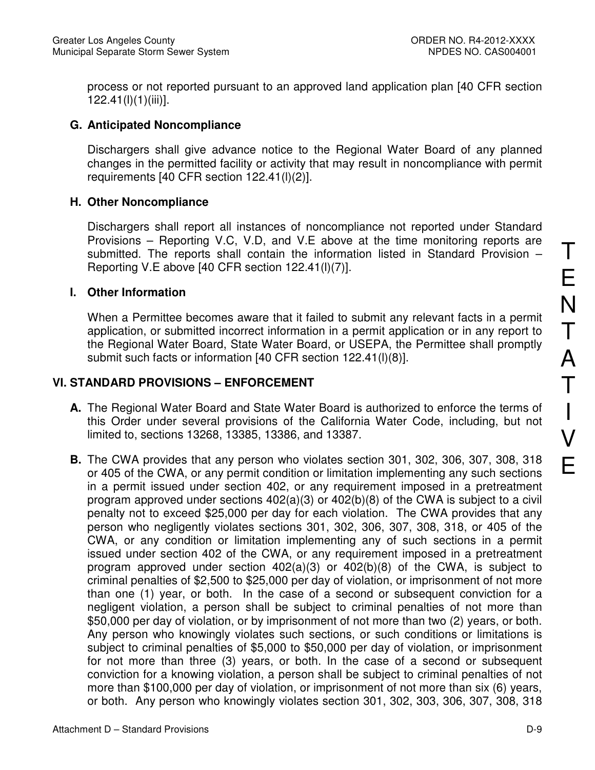process or not reported pursuant to an approved land application plan [40 CFR section 122.41(l)(1)(iii)].

# **G. Anticipated Noncompliance**

Dischargers shall give advance notice to the Regional Water Board of any planned changes in the permitted facility or activity that may result in noncompliance with permit requirements [40 CFR section 122.41(l)(2)].

## **H. Other Noncompliance**

Dischargers shall report all instances of noncompliance not reported under Standard Provisions – Reporting V.C, V.D, and V.E above at the time monitoring reports are submitted. The reports shall contain the information listed in Standard Provision – Reporting V.E above [40 CFR section 122.41(l)(7)].

## **I. Other Information**

When a Permittee becomes aware that it failed to submit any relevant facts in a permit application, or submitted incorrect information in a permit application or in any report to the Regional Water Board, State Water Board, or USEPA, the Permittee shall promptly submit such facts or information [40 CFR section 122.41(l)(8)].

## **VI. STANDARD PROVISIONS – ENFORCEMENT**

- **A.** The Regional Water Board and State Water Board is authorized to enforce the terms of this Order under several provisions of the California Water Code, including, but not limited to, sections 13268, 13385, 13386, and 13387.
- **B.** The CWA provides that any person who violates section 301, 302, 306, 307, 308, 318 or 405 of the CWA, or any permit condition or limitation implementing any such sections in a permit issued under section 402, or any requirement imposed in a pretreatment program approved under sections 402(a)(3) or 402(b)(8) of the CWA is subject to a civil penalty not to exceed \$25,000 per day for each violation. The CWA provides that any person who negligently violates sections 301, 302, 306, 307, 308, 318, or 405 of the CWA, or any condition or limitation implementing any of such sections in a permit issued under section 402 of the CWA, or any requirement imposed in a pretreatment program approved under section 402(a)(3) or 402(b)(8) of the CWA, is subject to criminal penalties of \$2,500 to \$25,000 per day of violation, or imprisonment of not more than one (1) year, or both. In the case of a second or subsequent conviction for a negligent violation, a person shall be subject to criminal penalties of not more than \$50,000 per day of violation, or by imprisonment of not more than two (2) years, or both. Any person who knowingly violates such sections, or such conditions or limitations is subject to criminal penalties of \$5,000 to \$50,000 per day of violation, or imprisonment for not more than three (3) years, or both. In the case of a second or subsequent conviction for a knowing violation, a person shall be subject to criminal penalties of not more than \$100,000 per day of violation, or imprisonment of not more than six (6) years, or both. Any person who knowingly violates section 301, 302, 303, 306, 307, 308, 318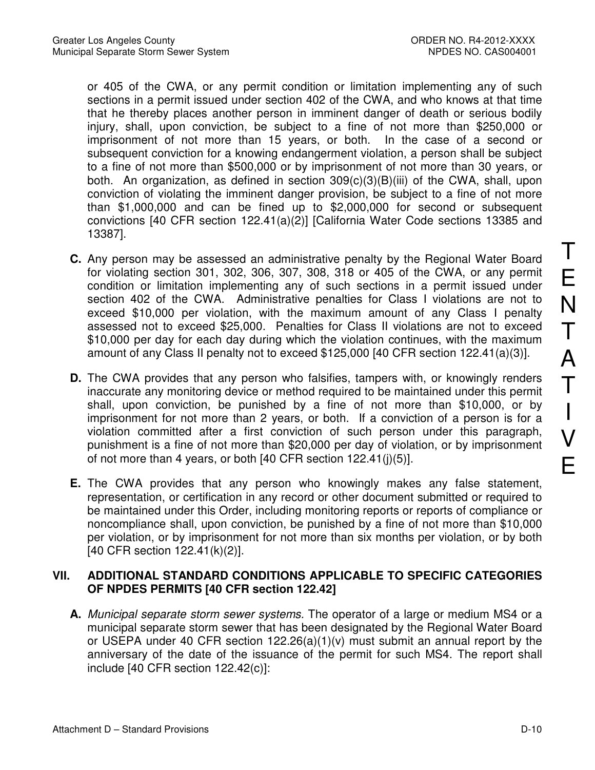or 405 of the CWA, or any permit condition or limitation implementing any of such sections in a permit issued under section 402 of the CWA, and who knows at that time that he thereby places another person in imminent danger of death or serious bodily injury, shall, upon conviction, be subject to a fine of not more than \$250,000 or imprisonment of not more than 15 years, or both. In the case of a second or subsequent conviction for a knowing endangerment violation, a person shall be subject to a fine of not more than \$500,000 or by imprisonment of not more than 30 years, or both. An organization, as defined in section 309(c)(3)(B)(iii) of the CWA, shall, upon conviction of violating the imminent danger provision, be subject to a fine of not more than \$1,000,000 and can be fined up to \$2,000,000 for second or subsequent convictions [40 CFR section 122.41(a)(2)] [California Water Code sections 13385 and 13387].

- **C.** Any person may be assessed an administrative penalty by the Regional Water Board for violating section 301, 302, 306, 307, 308, 318 or 405 of the CWA, or any permit condition or limitation implementing any of such sections in a permit issued under section 402 of the CWA. Administrative penalties for Class I violations are not to exceed \$10,000 per violation, with the maximum amount of any Class I penalty assessed not to exceed \$25,000. Penalties for Class II violations are not to exceed \$10,000 per day for each day during which the violation continues, with the maximum amount of any Class II penalty not to exceed \$125,000 [40 CFR section 122.41(a)(3)].
- **D.** The CWA provides that any person who falsifies, tampers with, or knowingly renders inaccurate any monitoring device or method required to be maintained under this permit shall, upon conviction, be punished by a fine of not more than \$10,000, or by imprisonment for not more than 2 years, or both. If a conviction of a person is for a violation committed after a first conviction of such person under this paragraph, punishment is a fine of not more than \$20,000 per day of violation, or by imprisonment of not more than 4 years, or both [40 CFR section 122.41(j)(5)].
- **E.** The CWA provides that any person who knowingly makes any false statement, representation, or certification in any record or other document submitted or required to be maintained under this Order, including monitoring reports or reports of compliance or noncompliance shall, upon conviction, be punished by a fine of not more than \$10,000 per violation, or by imprisonment for not more than six months per violation, or by both [40 CFR section 122.41(k)(2)].

# **VII. ADDITIONAL STANDARD CONDITIONS APPLICABLE TO SPECIFIC CATEGORIES OF NPDES PERMITS [40 CFR section 122.42]**

**A.** Municipal separate storm sewer systems. The operator of a large or medium MS4 or a municipal separate storm sewer that has been designated by the Regional Water Board or USEPA under 40 CFR section 122.26(a)(1)(v) must submit an annual report by the anniversary of the date of the issuance of the permit for such MS4. The report shall include [40 CFR section 122.42(c)]: